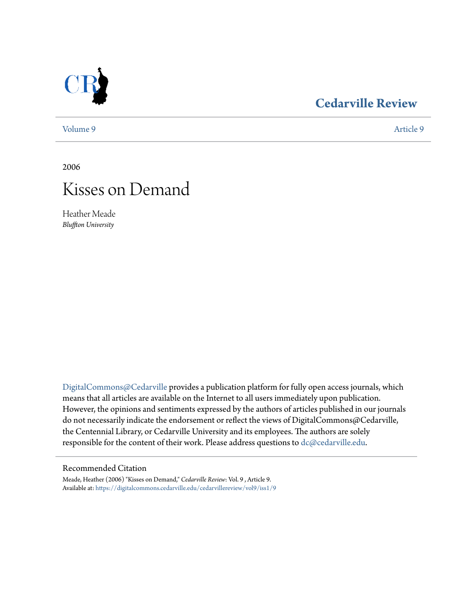

## **[Cedarville Review](https://digitalcommons.cedarville.edu/cedarvillereview?utm_source=digitalcommons.cedarville.edu%2Fcedarvillereview%2Fvol9%2Fiss1%2F9&utm_medium=PDF&utm_campaign=PDFCoverPages)**

[Volume 9](https://digitalcommons.cedarville.edu/cedarvillereview/vol9?utm_source=digitalcommons.cedarville.edu%2Fcedarvillereview%2Fvol9%2Fiss1%2F9&utm_medium=PDF&utm_campaign=PDFCoverPages) [Article 9](https://digitalcommons.cedarville.edu/cedarvillereview/vol9/iss1/9?utm_source=digitalcommons.cedarville.edu%2Fcedarvillereview%2Fvol9%2Fiss1%2F9&utm_medium=PDF&utm_campaign=PDFCoverPages)

2006



Heather Meade *Bluffton University*

[DigitalCommons@Cedarville](http://digitalcommons.cedarville.edu) provides a publication platform for fully open access journals, which means that all articles are available on the Internet to all users immediately upon publication. However, the opinions and sentiments expressed by the authors of articles published in our journals do not necessarily indicate the endorsement or reflect the views of DigitalCommons@Cedarville, the Centennial Library, or Cedarville University and its employees. The authors are solely responsible for the content of their work. Please address questions to [dc@cedarville.edu](mailto:dc@cedarville.edu).

## Recommended Citation

Meade, Heather (2006) "Kisses on Demand," *Cedarville Review*: Vol. 9 , Article 9. Available at: [https://digitalcommons.cedarville.edu/cedarvillereview/vol9/iss1/9](https://digitalcommons.cedarville.edu/cedarvillereview/vol9/iss1/9?utm_source=digitalcommons.cedarville.edu%2Fcedarvillereview%2Fvol9%2Fiss1%2F9&utm_medium=PDF&utm_campaign=PDFCoverPages)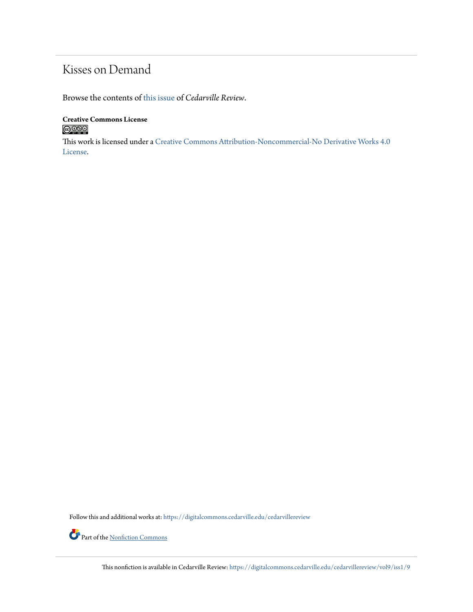## Kisses on Demand

Browse the contents of [this issue](https://digitalcommons.cedarville.edu/cedarvillereview/vol9/iss1) of *Cedarville Review*.

**Creative Commons License**  $\bigcirc$  000

This work is licensed under a [Creative Commons Attribution-Noncommercial-No Derivative Works 4.0](http://creativecommons.org/licenses/by-nc-nd/4.0/) [License.](http://creativecommons.org/licenses/by-nc-nd/4.0/)

Follow this and additional works at: [https://digitalcommons.cedarville.edu/cedarvillereview](https://digitalcommons.cedarville.edu/cedarvillereview?utm_source=digitalcommons.cedarville.edu%2Fcedarvillereview%2Fvol9%2Fiss1%2F9&utm_medium=PDF&utm_campaign=PDFCoverPages)

Part of the <u>[Nonfiction Commons](http://network.bepress.com/hgg/discipline/1152?utm_source=digitalcommons.cedarville.edu%2Fcedarvillereview%2Fvol9%2Fiss1%2F9&utm_medium=PDF&utm_campaign=PDFCoverPages)</u>

This nonfiction is available in Cedarville Review: [https://digitalcommons.cedarville.edu/cedarvillereview/vol9/iss1/9](https://digitalcommons.cedarville.edu/cedarvillereview/vol9/iss1/9?utm_source=digitalcommons.cedarville.edu%2Fcedarvillereview%2Fvol9%2Fiss1%2F9&utm_medium=PDF&utm_campaign=PDFCoverPages)